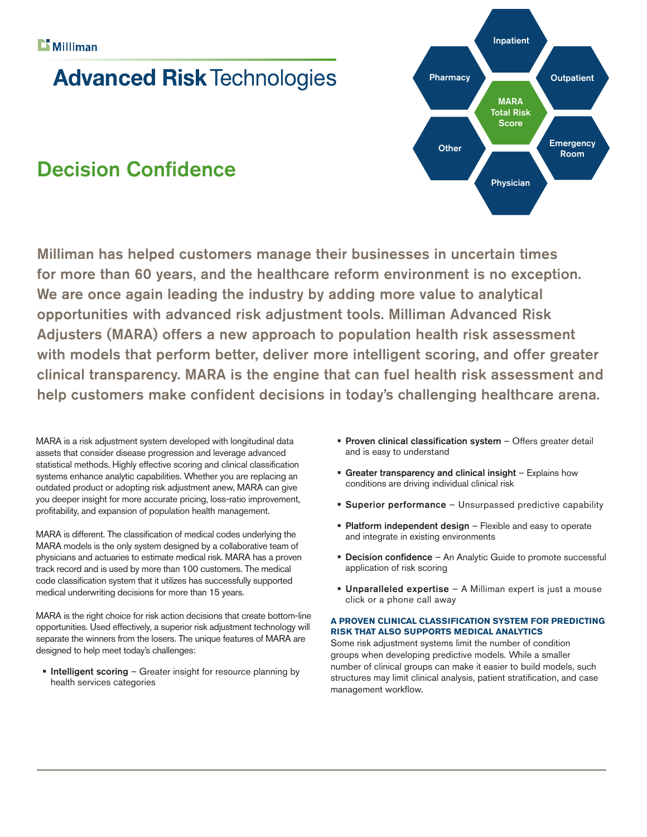## **Advanced Risk Technologies**

### Decision Confidence



Milliman has helped customers manage their businesses in uncertain times for more than 60 years, and the healthcare reform environment is no exception. We are once again leading the industry by adding more value to analytical opportunities with advanced risk adjustment tools. Milliman Advanced Risk Adjusters (MARA) offers a new approach to population health risk assessment with models that perform better, deliver more intelligent scoring, and offer greater clinical transparency. MARA is the engine that can fuel health risk assessment and help customers make confident decisions in today's challenging healthcare arena.

MARA is a risk adjustment system developed with longitudinal data assets that consider disease progression and leverage advanced statistical methods. Highly effective scoring and clinical classification systems enhance analytic capabilities. Whether you are replacing an outdated product or adopting risk adjustment anew, MARA can give you deeper insight for more accurate pricing, loss-ratio improvement, profitability, and expansion of population health management.

MARA is different. The classification of medical codes underlying the MARA models is the only system designed by a collaborative team of physicians and actuaries to estimate medical risk. MARA has a proven track record and is used by more than 100 customers. The medical code classification system that it utilizes has successfully supported medical underwriting decisions for more than 15 years.

MARA is the right choice for risk action decisions that create bottom-line opportunities. Used effectively, a superior risk adjustment technology will separate the winners from the losers. The unique features of MARA are designed to help meet today's challenges:

 $\blacksquare$  Intelligent scoring – Greater insight for resource planning by health services categories

- **Proven clinical classification system Offers greater detail** and is easy to understand
- Greater transparency and clinical insight Explains how conditions are driving individual clinical risk
- **Superior performance** Unsurpassed predictive capability
- **Platform independent design** Flexible and easy to operate and integrate in existing environments
- **Decision confidence** An Analytic Guide to promote successful application of risk scoring
- Unparalleled expertise A Milliman expert is just a mouse click or a phone call away

#### **A PROVEN CLINICAL CLASSIFICATION SYSTEM FOR PREDICTING RISK THAT ALSO SUPPORTS MEDICAL ANALYTICS**

Some risk adjustment systems limit the number of condition groups when developing predictive models. While a smaller number of clinical groups can make it easier to build models, such structures may limit clinical analysis, patient stratification, and case management workflow.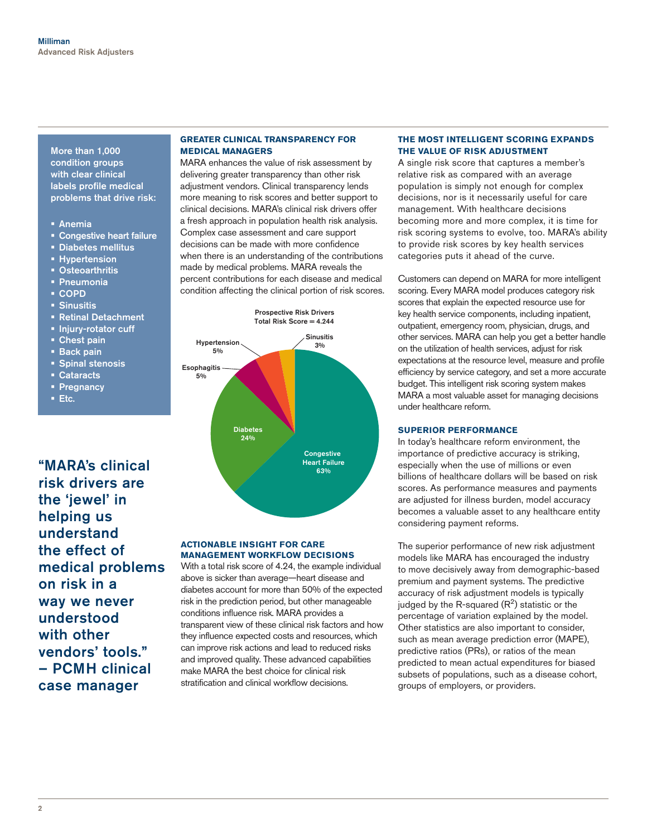More than 1,000 condition groups with clear clinical labels profile medical problems that drive risk:

- Anemia
- **Congestive heart failure**
- Diabetes mellitus
- **Hypertension**
- Osteoarthritis
- Pneumonia
- COPD
- Sinusitis
- **Retinal Detachment**
- **Injury-rotator cuff**
- Chest pain
- **Back pain**
- **Spinal stenosis**
- Cataracts
- **Pregnancy**
- Etc.

"MARA's clinical risk drivers are the 'jewel' in helping us understand the effect of medical problems on risk in a way we never understood with other vendors' tools." – PCMH clinical case manager

#### **GREATER CLINICAL TRANSPARENCY FOR MEDICAL MANAGERS**

MARA enhances the value of risk assessment by delivering greater transparency than other risk adjustment vendors. Clinical transparency lends more meaning to risk scores and better support to clinical decisions. MARA's clinical risk drivers offer a fresh approach in population health risk analysis. Complex case assessment and care support decisions can be made with more confidence when there is an understanding of the contributions made by medical problems. MARA reveals the percent contributions for each disease and medical condition affecting the clinical portion of risk scores.



#### **ACTIONABLE INSIGHT FOR CARE MANAGEMENT WORKFLOW DECISIONS**

With a total risk score of 4.24, the example individual above is sicker than average—heart disease and diabetes account for more than 50% of the expected risk in the prediction period, but other manageable conditions influence risk. MARA provides a transparent view of these clinical risk factors and how they influence expected costs and resources, which can improve risk actions and lead to reduced risks and improved quality. These advanced capabilities make MARA the best choice for clinical risk stratification and clinical workflow decisions.

#### **THE MOST INTELLIGENT SCORING EXPANDS THE VALUE OF RISK ADJUSTMENT**

A single risk score that captures a member's relative risk as compared with an average population is simply not enough for complex decisions, nor is it necessarily useful for care management. With healthcare decisions becoming more and more complex, it is time for risk scoring systems to evolve, too. MARA's ability to provide risk scores by key health services categories puts it ahead of the curve.

Customers can depend on MARA for more intelligent scoring. Every MARA model produces category risk scores that explain the expected resource use for key health service components, including inpatient, outpatient, emergency room, physician, drugs, and other services. MARA can help you get a better handle on the utilization of health services, adjust for risk expectations at the resource level, measure and profile efficiency by service category, and set a more accurate budget. This intelligent risk scoring system makes MARA a most valuable asset for managing decisions under healthcare reform.

#### **SUPERIOR PERFORMANCE**

In today's healthcare reform environment, the importance of predictive accuracy is striking, especially when the use of millions or even billions of healthcare dollars will be based on risk scores. As performance measures and payments are adjusted for illness burden, model accuracy becomes a valuable asset to any healthcare entity considering payment reforms.

The superior performance of new risk adjustment models like MARA has encouraged the industry to move decisively away from demographic-based premium and payment systems. The predictive accuracy of risk adjustment models is typically judged by the R-squared  $(R<sup>2</sup>)$  statistic or the percentage of variation explained by the model. Other statistics are also important to consider, such as mean average prediction error (MAPE), predictive ratios (PRs), or ratios of the mean predicted to mean actual expenditures for biased subsets of populations, such as a disease cohort, groups of employers, or providers.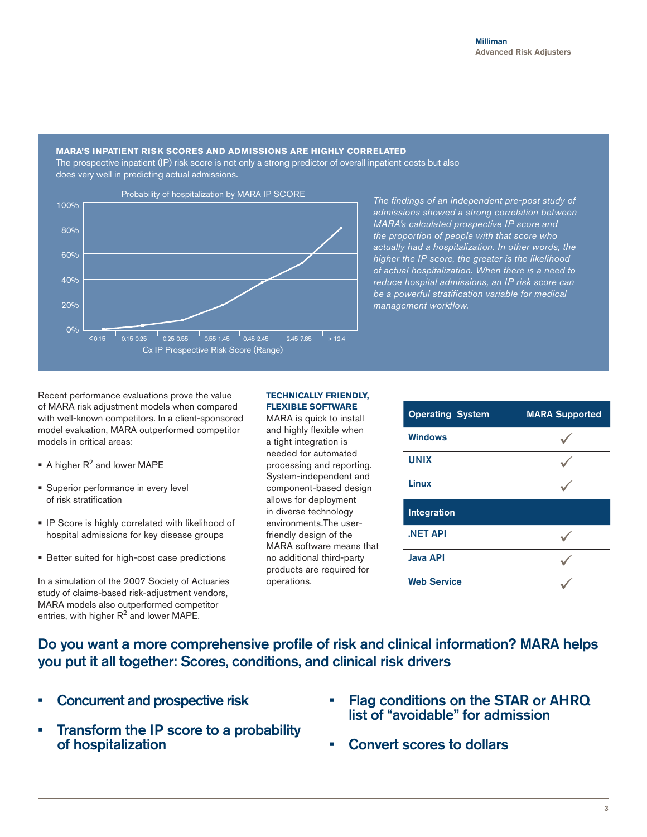#### **MARA'S INPATIENT RISK SCORES AND ADMISSIONS ARE HIGHLY CORRELATED**

The prospective inpatient (IP) risk score is not only a strong predictor of overall inpatient costs but also does very well in predicting actual admissions.



*The findings of an independent pre-post study of admissions showed a strong correlation between MARA's calculated prospective IP score and the proportion of people with that score who actually had a hospitalization. In other words, the higher the IP score, the greater is the likelihood of actual hospitalization. When there is a need to reduce hospital admissions, an IP risk score can be a powerful stratification variable for medical management workflow.* 

Recent performance evaluations prove the value of MARA risk adjustment models when compared with well-known competitors. In a client-sponsored model evaluation, MARA outperformed competitor models in critical areas:

- $\blacksquare$  A higher  $R^2$  and lower MAPE
- **Superior performance in every level** of risk stratification
- **IP Score is highly correlated with likelihood of** hospital admissions for key disease groups
- **Better suited for high-cost case predictions**

In a simulation of the 2007 Society of Actuaries study of claims-based risk-adjustment vendors, MARA models also outperformed competitor entries, with higher  $R^2$  and lower MAPE.

#### **TECHNICALLY FRIENDLY, FLEXIBLE SOFTWARE**

MARA is quick to install and highly flexible when a tight integration is needed for automated processing and reporting. System-independent and component-based design allows for deployment in diverse technology environments.The userfriendly design of the MARA software means that no additional third-party products are required for operations.

| <b>Operating System</b> | <b>MARA Supported</b> |
|-------------------------|-----------------------|
| <b>Windows</b>          |                       |
| <b>UNIX</b>             |                       |
| Linux                   |                       |
| Integration             |                       |
| <b>NET API</b>          |                       |
| <b>Java API</b>         |                       |
| <b>Web Service</b>      |                       |

Do you want a more comprehensive profile of risk and clinical information? MARA helps you put it all together: Scores, conditions, and clinical risk drivers

- Concurrent and prospective risk
- Transform the IP score to a probability of hospitalization
- • Flag conditions on the STAR or AHRQ list of "avoidable" for admission
- **Convert scores to dollars**